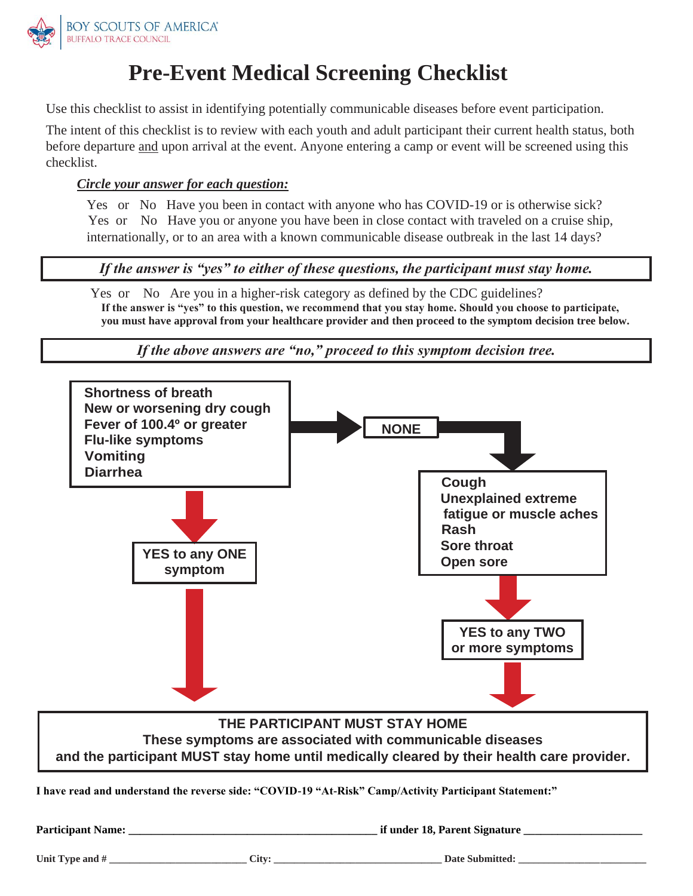

## **Pre-Event Medical Screening Checklist**

Use this checklist to assist in identifying potentially communicable diseases before event participation.

The intent of this checklist is to review with each youth and adult participant their current health status, both before departure and upon arrival at the event. Anyone entering a camp or event will be screened using this checklist.

## *Circle your answer for each question:*

Yes or No Have you been in contact with anyone who has COVID-19 or is otherwise sick? Yes or No Have you or anyone you have been in close contact with traveled on a cruise ship, internationally, or to an area with a known communicable disease outbreak in the last 14 days?

*If the answer is "yes" to either of these questions, the participant must stay home.*

*If the above answers are "no," proceed to this symptom decision tree.*

Yes or No Are you in a higher-risk category as defined by the CDC guidelines? **If the answer is "yes" to this question, we recommend that you stay home. Should you choose to participate, you must have approval from your healthcare provider and then proceed to the symptom decision tree below.**



**Participant Name: \_\_\_\_\_\_\_\_\_\_\_\_\_\_\_\_\_\_\_\_\_\_\_\_\_\_\_\_\_\_\_\_\_\_\_\_\_\_\_\_\_\_\_\_ if under 18, Parent Signature \_\_\_\_\_\_\_\_\_\_\_\_\_\_\_\_\_\_\_\_\_**

Unit Type and #